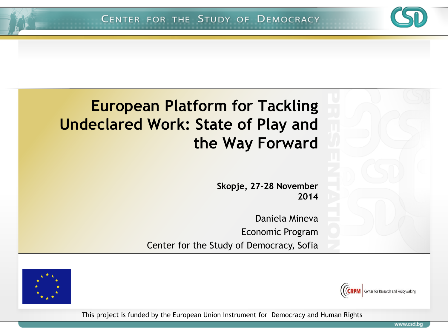### **European Platform for Tackling Undeclared Work: State of Play and the Way Forward**

**Skopje, 27-28 November 2014**

Daniela Mineva Economic Program Center for the Study of Democracy, Sofia





This project is funded by the European Union Instrument for Democracy and Human Rights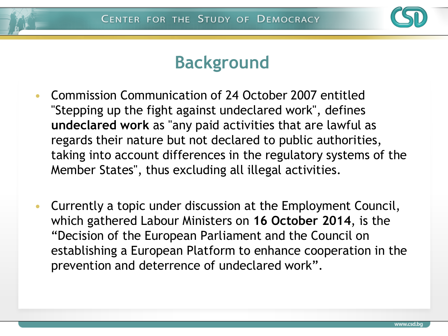

#### **Background**

- Commission Communication of 24 October 2007 entitled "Stepping up the fight against undeclared work", defines **undeclared work** as "any paid activities that are lawful as regards their nature but not declared to public authorities, taking into account differences in the regulatory systems of the Member States", thus excluding all illegal activities.
- Currently a topic under discussion at the Employment Council, which gathered Labour Ministers on **16 October 2014**, is the "Decision of the European Parliament and the Council on establishing a European Platform to enhance cooperation in the prevention and deterrence of undeclared work".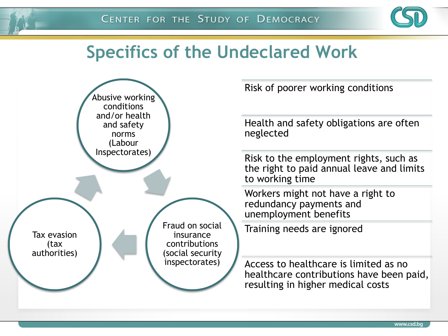

#### **Specifics of the Undeclared Work**



Risk of poorer working conditions

Health and safety obligations are often neglected

Risk to the employment rights, such as the right to paid annual leave and limits to working time

Workers might not have a right to redundancy payments and unemployment benefits

Training needs are ignored

Access to healthcare is limited as no healthcare contributions have been paid, resulting in higher medical costs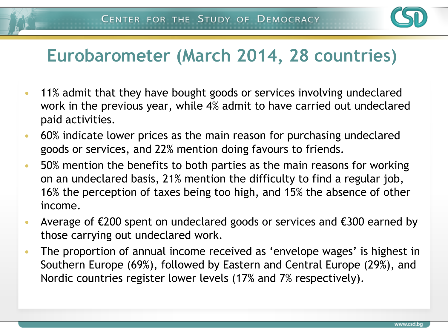

# **Eurobarometer (March 2014, 28 countries)**

- 11% admit that they have bought goods or services involving undeclared work in the previous year, while 4% admit to have carried out undeclared paid activities.
- 60% indicate lower prices as the main reason for purchasing undeclared goods or services, and 22% mention doing favours to friends.
- 50% mention the benefits to both parties as the main reasons for working on an undeclared basis, 21% mention the difficulty to find a regular job, 16% the perception of taxes being too high, and 15% the absence of other income.
- Average of €200 spent on undeclared goods or services and €300 earned by those carrying out undeclared work.
- The proportion of annual income received as 'envelope wages' is highest in Southern Europe (69%), followed by Eastern and Central Europe (29%), and Nordic countries register lower levels (17% and 7% respectively).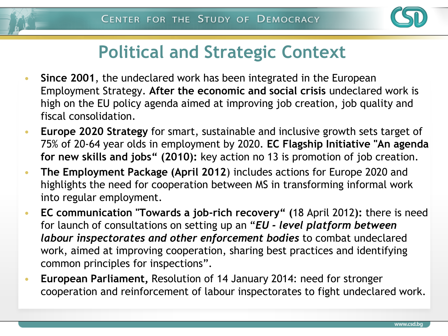

# **Political and Strategic Context**

- **Since 2001**, the undeclared work has been integrated in the European Employment Strategy. **After the economic and social crisis** undeclared work is high on the EU policy agenda aimed at improving job creation, job quality and fiscal consolidation.
- **Europe 2020 Strategy** for smart, sustainable and inclusive growth sets target of 75% of 20-64 year olds in employment by 2020. **EC Flagship Initiative "An agenda for new skills and jobs" (2010):** key action no 13 is promotion of job creation.
- **The Employment Package (April 2012**) includes actions for Europe 2020 and highlights the need for cooperation between MS in transforming informal work into regular employment.
- **EC communication "Towards a job-rich recovery" (**18 April 2012**):** there is need for launch of consultations on setting up an "*EU - level platform between labour inspectorates and other enforcement bodies* to combat undeclared work, aimed at improving cooperation, sharing best practices and identifying common principles for inspections".
- **European Parliament,** Resolution of 14 January 2014: need for stronger cooperation and reinforcement of labour inspectorates to fight undeclared work.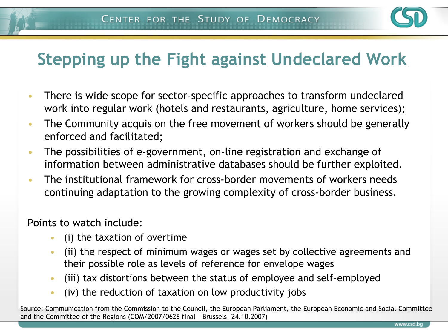

# **Stepping up the Fight against Undeclared Work**

- There is wide scope for sector-specific approaches to transform undeclared work into regular work (hotels and restaurants, agriculture, home services);
- The Community acquis on the free movement of workers should be generally enforced and facilitated;
- The possibilities of e-government, on-line registration and exchange of information between administrative databases should be further exploited.
- The institutional framework for cross-border movements of workers needs continuing adaptation to the growing complexity of cross-border business.

Points to watch include:

- (i) the taxation of overtime
- (ii) the respect of minimum wages or wages set by collective agreements and their possible role as levels of reference for envelope wages
- (iii) tax distortions between the status of employee and self-employed
- (iv) the reduction of taxation on low productivity jobs

Source: Communication from the Commission to the Council, the European Parliament, the European Economic and Social Committee and the Committee of the Regions (COM/2007/0628 final - Brussels, 24.10.2007)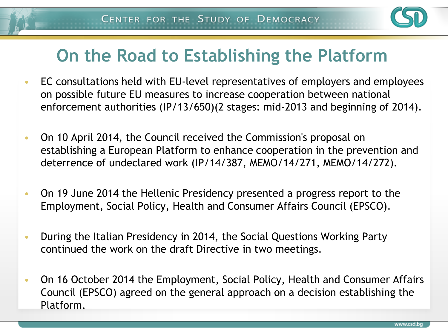

# **On the Road to Establishing the Platform**

- EC consultations held with EU-level representatives of employers and employees on possible future EU measures to increase cooperation between national enforcement authorities (IP/13/650)(2 stages: mid-2013 and beginning of 2014).
- On 10 April 2014, the Council received the Commission's proposal on establishing a European Platform to enhance cooperation in the prevention and deterrence of undeclared work (IP/14/387, MEMO/14/271, MEMO/14/272).
- On 19 June 2014 the Hellenic Presidency presented a progress report to the Employment, Social Policy, Health and Consumer Affairs Council (EPSCO).
- During the Italian Presidency in 2014, the Social Questions Working Party continued the work on the draft Directive in two meetings.
- On 16 October 2014 the Employment, Social Policy, Health and Consumer Affairs Council (EPSCO) agreed on the general approach on a decision establishing the Platform.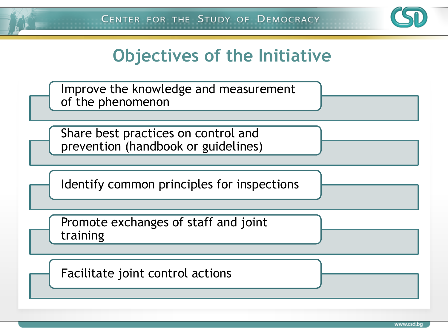

### **Objectives of the Initiative**

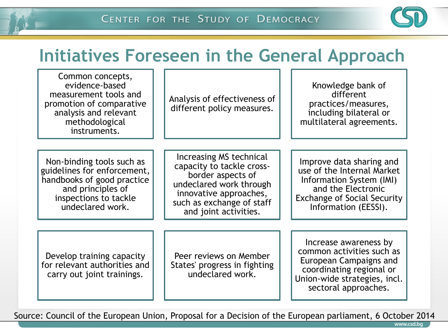

### **Initiatives Foreseen in the General Approach**

| Common concepts,<br>evidence-based<br>measurement tools and<br>promotion of comparative<br>analysis and relevant<br>methodological<br>instruments.       | Analysis of effectiveness of<br>different policy measures.                                                                                                                           | Knowledge bank of<br>different<br>practices/measures,<br>including bilateral or<br>multilateral agreements.                                                            |
|----------------------------------------------------------------------------------------------------------------------------------------------------------|--------------------------------------------------------------------------------------------------------------------------------------------------------------------------------------|------------------------------------------------------------------------------------------------------------------------------------------------------------------------|
|                                                                                                                                                          |                                                                                                                                                                                      |                                                                                                                                                                        |
| Non-binding tools such as<br>guidelines for enforcement,<br>handbooks of good practice<br>and principles of<br>inspections to tackle<br>undeclared work. | Increasing MS technical<br>capacity to tackle cross-<br>border aspects of<br>undeclared work through<br>innovative approaches,<br>such as exchange of staff<br>and joint activities. | Improve data sharing and<br>use of the Internal Market<br>Information System (IMI)<br>and the Electronic<br><b>Exchange of Social Security</b><br>Information (EESSI). |
|                                                                                                                                                          |                                                                                                                                                                                      |                                                                                                                                                                        |
| Develop training capacity<br>for relevant authorities and<br>carry out joint trainings.                                                                  | Peer reviews on Member<br>States' progress in fighting<br>undeclared work.                                                                                                           | Increase awareness by<br>common activities such as<br>European Campaigns and<br>coordinating regional or<br>Union-wide strategies, incl.<br>sectoral approaches.       |

Source: Council of the European Union, Proposal for a Decision of the European parliament, 6 October 2014

www.csd.bq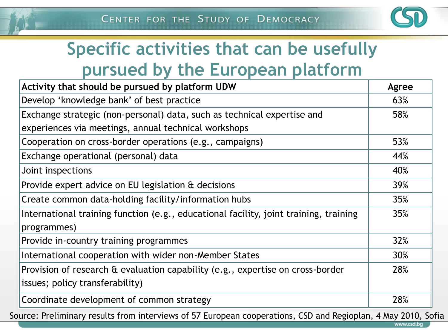

www.csd.bq

# **Specific activities that can be usefully pursued by the European platform**

| Activity that should be pursued by platform UDW                                       | Agree |  |  |  |
|---------------------------------------------------------------------------------------|-------|--|--|--|
| Develop 'knowledge bank' of best practice                                             | 63%   |  |  |  |
| Exchange strategic (non-personal) data, such as technical expertise and               | 58%   |  |  |  |
| experiences via meetings, annual technical workshops                                  |       |  |  |  |
| Cooperation on cross-border operations (e.g., campaigns)                              |       |  |  |  |
| Exchange operational (personal) data                                                  | 44%   |  |  |  |
| Joint inspections                                                                     | 40%   |  |  |  |
| Provide expert advice on EU legislation & decisions                                   |       |  |  |  |
| Create common data-holding facility/information hubs                                  | 35%   |  |  |  |
| International training function (e.g., educational facility, joint training, training | 35%   |  |  |  |
| programmes)                                                                           |       |  |  |  |
| Provide in-country training programmes                                                | 32%   |  |  |  |
| International cooperation with wider non-Member States                                | 30%   |  |  |  |
| Provision of research & evaluation capability (e.g., expertise on cross-border        | 28%   |  |  |  |
| issues; policy transferability)                                                       |       |  |  |  |
| Coordinate development of common strategy                                             | 28%   |  |  |  |

Source: Preliminary results from interviews of 57 European cooperations, CSD and Regioplan, 4 May 2010, Sofia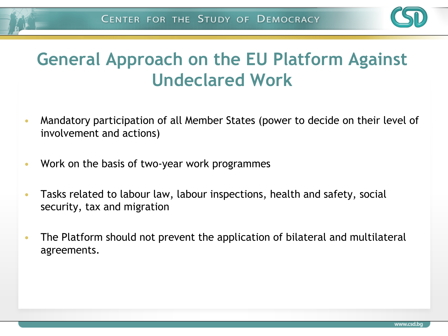

# **General Approach on the EU Platform Against Undeclared Work**

- Mandatory participation of all Member States (power to decide on their level of involvement and actions)
- Work on the basis of two-year work programmes
- Tasks related to labour law, labour inspections, health and safety, social security, tax and migration
- The Platform should not prevent the application of bilateral and multilateral agreements.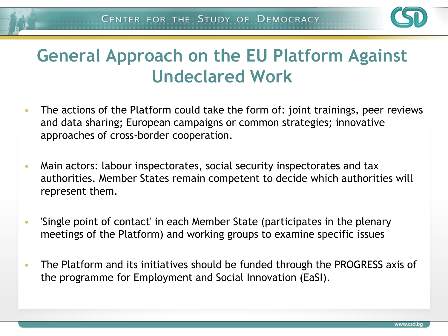

# **General Approach on the EU Platform Against Undeclared Work**

- The actions of the Platform could take the form of: joint trainings, peer reviews and data sharing; European campaigns or common strategies; innovative approaches of cross-border cooperation.
- Main actors: labour inspectorates, social security inspectorates and tax authorities. Member States remain competent to decide which authorities will represent them.
- 'Single point of contact' in each Member State (participates in the plenary meetings of the Platform) and working groups to examine specific issues
- The Platform and its initiatives should be funded through the PROGRESS axis of the programme for Employment and Social Innovation (EaSI).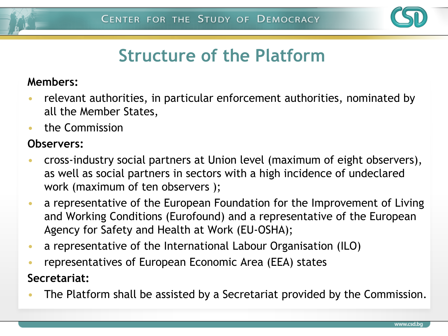

# **Structure of the Platform**

#### **Members:**

- relevant authorities, in particular enforcement authorities, nominated by all the Member States,
- the Commission

#### **Observers:**

- cross-industry social partners at Union level (maximum of eight observers), as well as social partners in sectors with a high incidence of undeclared work (maximum of ten observers );
- a representative of the European Foundation for the Improvement of Living and Working Conditions (Eurofound) and a representative of the European Agency for Safety and Health at Work (EU-OSHA);
- a representative of the International Labour Organisation (ILO)
- representatives of European Economic Area (EEA) states

#### **Secretariat:**

• The Platform shall be assisted by a Secretariat provided by the Commission.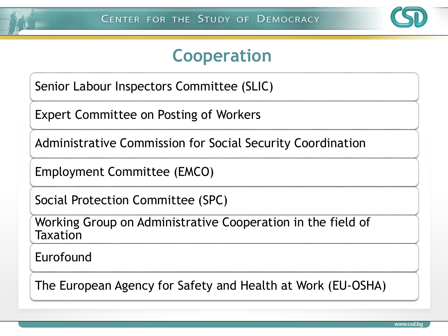

#### **Cooperation**

Senior Labour Inspectors Committee (SLIC)

Expert Committee on Posting of Workers

Administrative Commission for Social Security Coordination

Employment Committee (EMCO)

Social Protection Committee (SPC)

Working Group on Administrative Cooperation in the field of Taxation

Eurofound

The European Agency for Safety and Health at Work (EU-OSHA)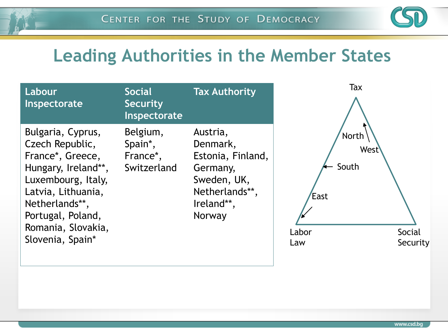

### **Leading Authorities in the Member States**

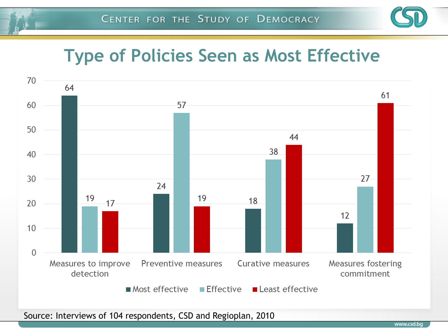

### **Type of Policies Seen as Most Effective**



Source: Interviews of 104 respondents, CSD and Regioplan, 2010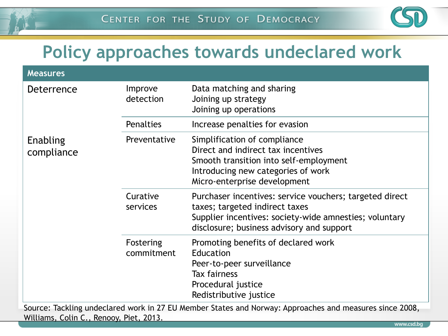

# **Policy approaches towards undeclared work**

| <b>Measures</b>        |                         |                                                                                                                                                                                                  |  |
|------------------------|-------------------------|--------------------------------------------------------------------------------------------------------------------------------------------------------------------------------------------------|--|
| Deterrence             | Improve<br>detection    | Data matching and sharing<br>Joining up strategy<br>Joining up operations                                                                                                                        |  |
|                        | <b>Penalties</b>        | Increase penalties for evasion                                                                                                                                                                   |  |
| Enabling<br>compliance | Preventative            | Simplification of compliance<br>Direct and indirect tax incentives<br>Smooth transition into self-employment<br>Introducing new categories of work<br>Micro-enterprise development               |  |
|                        | Curative<br>services    | Purchaser incentives: service vouchers; targeted direct<br>taxes; targeted indirect taxes<br>Supplier incentives: society-wide amnesties; voluntary<br>disclosure; business advisory and support |  |
|                        | Fostering<br>commitment | Promoting benefits of declared work<br>Education<br>Peer-to-peer surveillance<br><b>Tax fairness</b><br>Procedural justice<br>Redistributive justice                                             |  |

Source: Tackling undeclared work in 27 EU Member States and Norway: Approaches and measures since 2008, Williams, Colin C., Renooy, Piet, 2013.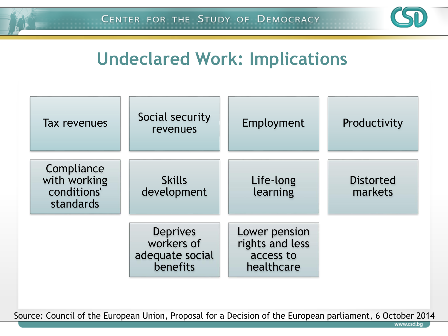

# **Undeclared Work: Implications**



Source: Council of the European Union, Proposal for a Decision of the European parliament, 6 October 2014

www.csd.b